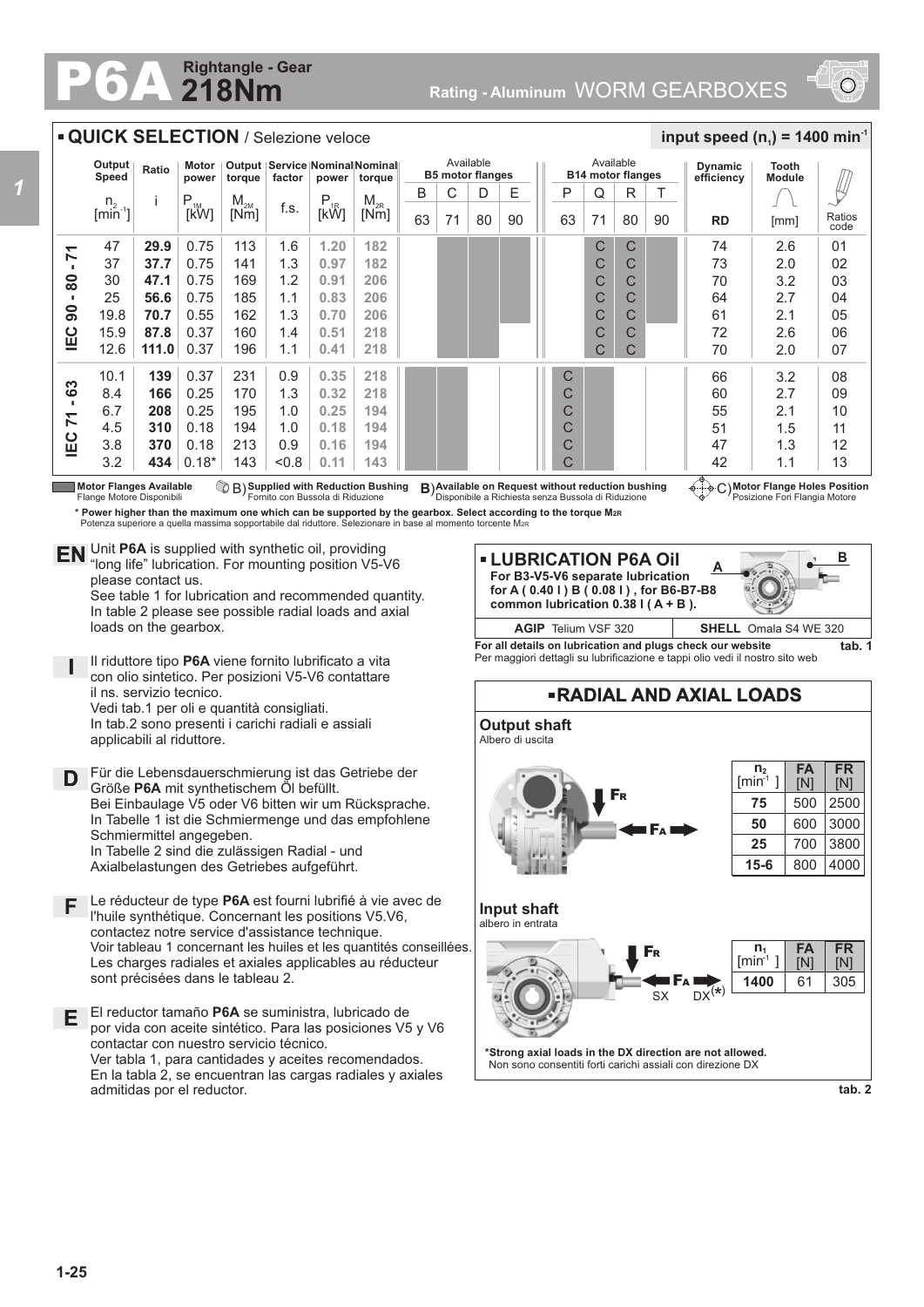## **218Nm Rightangle - Gear**



**input speed (n<sub>1</sub>) = 1400 min<sup>-1</sup>** 

## **QUICK SELECTION / Selezione veloce**

|                                                                | Output<br>Speed             | Ratio | Motor<br>power | Output   Service   Nominal Nominal   <br>factor<br>torque<br>power<br>toraue |      |          | Available<br><b>B5 motor flanges</b> |    |    |    | Available<br><b>B14 motor flanges</b> |    |    |    | <b>Dynamic</b><br>efficiency | Tooth<br><b>Module</b> |      |                |
|----------------------------------------------------------------|-----------------------------|-------|----------------|------------------------------------------------------------------------------|------|----------|--------------------------------------|----|----|----|---------------------------------------|----|----|----|------------------------------|------------------------|------|----------------|
|                                                                | $n_{\circ}$                 |       | $P_{1M}$       | $M_{2M}$                                                                     |      | $P_{1R}$ | $M_{2R}$                             | B  | С  | D  | E                                     | P  | Q  | R  |                              |                        |      |                |
|                                                                | $\left[\text{min}^2\right]$ |       | <b>IKWI</b>    | [Nm]                                                                         | f.s. | [kW]     | [Nm]                                 | 63 | 71 | 80 | 90                                    | 63 | 71 | 80 | 90                           | <b>RD</b>              | [mm] | Ratios<br>code |
| ↽                                                              | 47                          | 29.9  | 0.75           | 113                                                                          | 1.6  | 1.20     | 182                                  |    |    |    |                                       |    | C  | C  |                              | 74                     | 2.6  | 01             |
| $\overline{\phantom{0}}$                                       | 37                          | 37.7  | 0.75           | 141                                                                          | 1.3  | 0.97     | 182                                  |    |    |    |                                       |    | С  | C  |                              | 73                     | 2.0  | 02             |
| 80                                                             | 30                          | 47.1  | 0.75           | 169                                                                          | 1.2  | 0.91     | 206                                  |    |    |    |                                       |    | С  | C  |                              | 70                     | 3.2  | 03             |
|                                                                | 25                          | 56.6  | 0.75           | 185                                                                          | 1.1  | 0.83     | 206                                  |    |    |    |                                       |    | С  | C  |                              | 64                     | 2.7  | 04             |
| 8                                                              | 19.8                        | 70.7  | 0.55           | 162                                                                          | 1.3  | 0.70     | 206                                  |    |    |    |                                       |    | С  | C  |                              | 61                     | 2.1  | 05             |
| ΙEC                                                            | 15.9                        | 87.8  | 0.37           | 160                                                                          | 1.4  | 0.51     | 218                                  |    |    |    |                                       |    | C  | C  |                              | 72                     | 2.6  | 06             |
|                                                                | 12.6                        | 111.0 | 0.37           | 196                                                                          | 1.1  | 0.41     | 218                                  |    |    |    |                                       |    | U  |    |                              | 70                     | 2.0  | 07             |
| S<br>ف<br>$\overline{\phantom{0}}$<br>$\overline{ }$<br>ပ<br>重 | 10.1                        | 139   | 0.37           | 231                                                                          | 0.9  | 0.35     | 218                                  |    |    |    |                                       | С  |    |    |                              | 66                     | 3.2  | 08             |
|                                                                | 8.4                         | 166   | 0.25           | 170                                                                          | 1.3  | 0.32     | 218                                  |    |    |    |                                       | C  |    |    |                              | 60                     | 2.7  | 09             |
|                                                                | 6.7                         | 208   | 0.25           | 195                                                                          | 1.0  | 0.25     | 194                                  |    |    |    |                                       | С  |    |    |                              | 55                     | 2.1  | 10             |
|                                                                | 4.5                         | 310   | 0.18           | 194                                                                          | 1.0  | 0.18     | 194                                  |    |    |    |                                       | С  |    |    |                              | 51                     | 1.5  | 11             |
|                                                                | 3.8                         | 370   | 0.18           | 213                                                                          | 0.9  | 0.16     | 194                                  |    |    |    |                                       | С  |    |    |                              | 47                     | 1.3  | 12             |
|                                                                | 3.2                         | 434   | $0.18*$        | 143                                                                          | 0.8  | 0.11     | 143                                  |    |    |    |                                       | С  |    |    |                              | 42                     | 1.1  | 13             |

**Motor Flanges Available** Flange Motore Disponibili B) Supplied with Reduction Bushing **B**) Available on Request without reduction bushing  $\begin{pmatrix} 1 & 0 \\ 0 & 0 \end{pmatrix}$  C)

**\* Power higher than the maximum one which can be supported by the gearbox. Select according to the torque M2R Potenza superiore a quella massima sopportabile dal riduttore. Selezionare in base al momento torcente M<sub>2R</sub>** 

Unit **P6A** is supplied with synthetic oil, providing **EN** Unit P6A is supplied with synthetic oil, providing<br>"long life" lubrication. For mounting position V5-V6 please contact us.

See table 1 for lubrication and recommended quantity. In table 2 please see possible radial loads and axial loads on the gearbox.

**I** Il riduttore tipo **P6A** viene fornito lubrificato a vita con olio sintetico. Per posizioni V5-V6 contattare il ns. servizio tecnico. Vedi tab.1 per oli e quantità consigliati. In tab.2 sono presenti i carichi radiali e assiali applicabili al riduttore.

**D** Für die Lebensdauerschmierung ist das Getriebe der<br>
Größe **P6A** mit synthetischem Öl befüllt Größe **P6A** mit synthetischem Öl befüllt. Bei Einbaulage V5 oder V6 bitten wir um Rücksprache. In Tabelle 1 ist die Schmiermenge und das empfohlene Schmiermittel angegeben. In Tabelle 2 sind die zulässigen Radial - und Axialbelastungen des Getriebes aufgeführt.

- Le réducteur de type **P6A** est fourni lubrifié à vie avec de **F** l'huile synthétique. Concernant les positions V5.V6, contactez notre service d'assistance technique. Voir tableau 1 concernant les huiles et les quantités conseillées. Les charges radiales et axiales applicables au réducteur sont précisées dans le tableau 2.
- **E** El reductor tamaño **P6A** se suministra, lubricado de por vida con aceite sintético. Para las posiciones V5 y V6 contactar con nuestro servicio técnico. Ver tabla 1, para cantidades y aceites recomendados. En la tabla 2, se encuentran las cargas radiales y axiales admitidas por el reductor.

**A LUBRICATION P6A Oil For B3-V5-V6 separate lubrication for A ( 0.40 l ) B ( 0.08 l ) , for B6-B7-B8 common lubrication 0.38 l ( A + B ).** 



**Motor Flange Holes Position** Posizione Fori Flangia Motore

**For all details on lubrication and plugs check our website tab. 1** Per maggiori dettagli su lubrificazione e tappi olio vedi il nostro sito web **AGIP** Telium VSF 320 **SHELL** Omala S4 WE 320



**tab. 2**